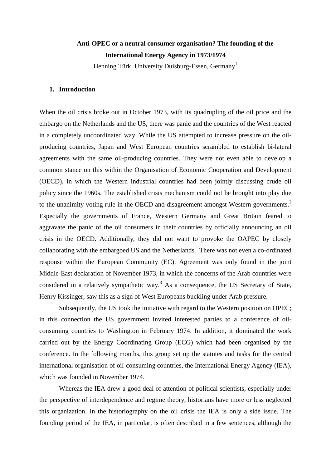# **Anti-OPEC or a neutral consumer organisation? The founding of the International Energy Agency in 1973/1974**

Henning Türk, University Duisburg-Essen, Germany<sup>1</sup>

### **1. Introduction**

When the oil crisis broke out in October 1973, with its quadrupling of the oil price and the embargo on the Netherlands and the US, there was panic and the countries of the West reacted in a completely uncoordinated way. While the US attempted to increase pressure on the oilproducing countries, Japan and West European countries scrambled to establish bi-lateral agreements with the same oil-producing countries. They were not even able to develop a common stance on this within the Organisation of Economic Cooperation and Development (OECD), in which the Western industrial countries had been jointly discussing crude oil policy since the 1960s. The established crisis mechanism could not be brought into play due to the unanimity voting rule in the OECD and disagreement amongst Western governments.<sup>2</sup> Especially the governments of France, Western Germany and Great Britain feared to aggravate the panic of the oil consumers in their countries by officially announcing an oil crisis in the OECD. Additionally, they did not want to provoke the OAPEC by closely collaborating with the embargoed US and the Netherlands. There was not even a co-ordinated response within the European Community (EC). Agreement was only found in the joint Middle-East declaration of November 1973, in which the concerns of the Arab countries were considered in a relatively sympathetic way.<sup>3</sup> As a consequence, the US Secretary of State, Henry Kissinger, saw this as a sign of West Europeans buckling under Arab pressure.

Subsequently, the US took the initiative with regard to the Western position on OPEC; in this connection the US government invited interested parties to a conference of oilconsuming countries to Washington in February 1974. In addition, it dominated the work carried out by the Energy Coordinating Group (ECG) which had been organised by the conference. In the following months, this group set up the statutes and tasks for the central international organisation of oil-consuming countries, the International Energy Agency (IEA), which was founded in November 1974.

Whereas the IEA drew a good deal of attention of political scientists, especially under the perspective of interdependence and regime theory, historians have more or less neglected this organization. In the historiography on the oil crisis the IEA is only a side issue. The founding period of the IEA, in particular, is often described in a few sentences, although the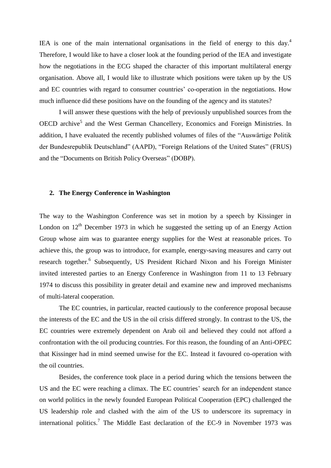IEA is one of the main international organisations in the field of energy to this day.<sup>4</sup> Therefore, I would like to have a closer look at the founding period of the IEA and investigate how the negotiations in the ECG shaped the character of this important multilateral energy organisation. Above all, I would like to illustrate which positions were taken up by the US and EC countries with regard to consumer countries' co-operation in the negotiations. How much influence did these positions have on the founding of the agency and its statutes?

I will answer these questions with the help of previously unpublished sources from the OECD archive<sup>5</sup> and the West German Chancellery, Economics and Foreign Ministries. In addition, I have evaluated the recently published volumes of files of the "Auswärtige Politik der Bundesrepublik Deutschland" (AAPD), "Foreign Relations of the United States" (FRUS) and the "Documents on British Policy Overseas" (DOBP).

#### **2. The Energy Conference in Washington**

The way to the Washington Conference was set in motion by a speech by Kissinger in London on  $12<sup>th</sup>$  December 1973 in which he suggested the setting up of an Energy Action Group whose aim was to guarantee energy supplies for the West at reasonable prices. To achieve this, the group was to introduce, for example, energy-saving measures and carry out research together.<sup>6</sup> Subsequently, US President Richard Nixon and his Foreign Minister invited interested parties to an Energy Conference in Washington from 11 to 13 February 1974 to discuss this possibility in greater detail and examine new and improved mechanisms of multi-lateral cooperation.

The EC countries, in particular, reacted cautiously to the conference proposal because the interests of the EC and the US in the oil crisis differed strongly. In contrast to the US, the EC countries were extremely dependent on Arab oil and believed they could not afford a confrontation with the oil producing countries. For this reason, the founding of an Anti-OPEC that Kissinger had in mind seemed unwise for the EC. Instead it favoured co-operation with the oil countries.

Besides*,* the conference took place in a period during which the tensions between the US and the EC were reaching a climax. The EC countries' search for an independent stance on world politics in the newly founded European Political Cooperation (EPC) challenged the US leadership role and clashed with the aim of the US to underscore its supremacy in international politics.<sup>7</sup> The Middle East declaration of the EC-9 in November 1973 was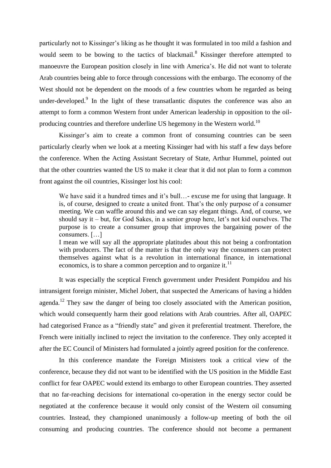particularly not to Kissinger's liking as he thought it was formulated in too mild a fashion and would seem to be bowing to the tactics of blackmail.<sup>8</sup> Kissinger therefore attempted to manoeuvre the European position closely in line with America's. He did not want to tolerate Arab countries being able to force through concessions with the embargo. The economy of the West should not be dependent on the moods of a few countries whom he regarded as being under-developed. $9$  In the light of these transatlantic disputes the conference was also an attempt to form a common Western front under American leadership in opposition to the oilproducing countries and therefore underline US hegemony in the Western world.<sup>10</sup>

Kissinger's aim to create a common front of consuming countries can be seen particularly clearly when we look at a meeting Kissinger had with his staff a few days before the conference. When the Acting Assistant Secretary of State, Arthur Hummel, pointed out that the other countries wanted the US to make it clear that it did not plan to form a common front against the oil countries, Kissinger lost his cool:

We have said it a hundred times and it's bull…- excuse me for using that language. It is, of course, designed to create a united front. That's the only purpose of a consumer meeting. We can waffle around this and we can say elegant things. And, of course, we should say it – but, for God Sakes, in a senior group here, let's not kid ourselves. The purpose is to create a consumer group that improves the bargaining power of the consumers. […]

I mean we will say all the appropriate platitudes about this not being a confrontation with producers. The fact of the matter is that the only way the consumers can protect themselves against what is a revolution in international finance, in international economics, is to share a common perception and to organize it. $^{11}$ 

It was especially the sceptical French government under President Pompidou and his intransigent foreign minister, Michel Jobert, that suspected the Americans of having a hidden agenda.<sup>12</sup> They saw the danger of being too closely associated with the American position, which would consequently harm their good relations with Arab countries. After all, OAPEC had categorised France as a "friendly state" and given it preferential treatment. Therefore, the French were initially inclined to reject the invitation to the conference. They only accepted it after the EC Council of Ministers had formulated a jointly agreed position for the conference.

In this conference mandate the Foreign Ministers took a critical view of the conference, because they did not want to be identified with the US position in the Middle East conflict for fear OAPEC would extend its embargo to other European countries. They asserted that no far-reaching decisions for international co-operation in the energy sector could be negotiated at the conference because it would only consist of the Western oil consuming countries. Instead, they championed unanimously a follow-up meeting of both the oil consuming and producing countries. The conference should not become a permanent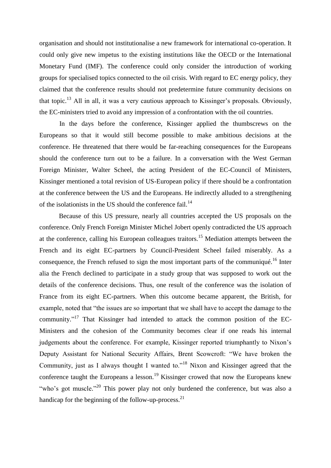organisation and should not institutionalise a new framework for international co-operation. It could only give new impetus to the existing institutions like the OECD or the International Monetary Fund (IMF). The conference could only consider the introduction of working groups for specialised topics connected to the oil crisis. With regard to EC energy policy, they claimed that the conference results should not predetermine future community decisions on that topic.<sup>13</sup> All in all, it was a very cautious approach to Kissinger's proposals. Obviously, the EC-ministers tried to avoid any impression of a confrontation with the oil countries.

In the days before the conference, Kissinger applied the thumbscrews on the Europeans so that it would still become possible to make ambitious decisions at the conference. He threatened that there would be far-reaching consequences for the Europeans should the conference turn out to be a failure. In a conversation with the West German Foreign Minister, Walter Scheel, the acting President of the EC-Council of Ministers, Kissinger mentioned a total revision of US-European policy if there should be a confrontation at the conference between the US and the Europeans. He indirectly alluded to a strengthening of the isolationists in the US should the conference fail. $^{14}$ 

Because of this US pressure, nearly all countries accepted the US proposals on the conference. Only French Foreign Minister Michel Jobert openly contradicted the US approach at the conference, calling his European colleagues traitors.<sup>15</sup> Mediation attempts between the French and its eight EC-partners by Council-President Scheel failed miserably. As a consequence, the French refused to sign the most important parts of the communiqué.<sup>16</sup> Inter alia the French declined to participate in a study group that was supposed to work out the details of the conference decisions. Thus, one result of the conference was the isolation of France from its eight EC-partners. When this outcome became apparent, the British, for example, noted that "the issues are so important that we shall have to accept the damage to the community."<sup>17</sup> That Kissinger had intended to attack the common position of the EC-Ministers and the cohesion of the Community becomes clear if one reads his internal judgements about the conference. For example, Kissinger reported triumphantly to Nixon's Deputy Assistant for National Security Affairs, Brent Scowcroft: "We have broken the Community, just as I always thought I wanted to."<sup>18</sup> Nixon and Kissinger agreed that the conference taught the Europeans a lesson.<sup>19</sup> Kissinger crowed that now the Europeans knew "who's got muscle."<sup>20</sup> This power play not only burdened the conference, but was also a handicap for the beginning of the follow-up-process.<sup>21</sup>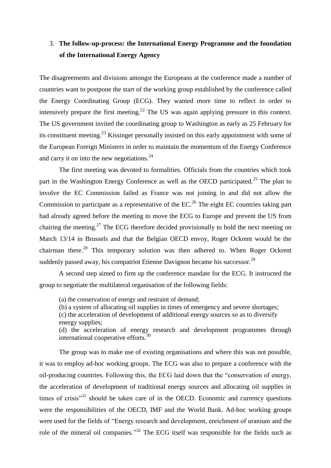## 3. **The follow-up-process: the International Energy Programme and the foundation of the International Energy Agency**

The disagreements and divisions amongst the Europeans at the conference made a number of countries want to postpone the start of the working group established by the conference called the Energy Coordinating Group (ECG). They wanted more time to reflect in order to intensively prepare the first meeting.<sup>22</sup> The US was again applying pressure in this context. The US government invited the coordinating group to Washington as early as 25 February for its constituent meeting.<sup>23</sup> Kissinger personally insisted on this early appointment with some of the European Foreign Ministers in order to maintain the momentum of the Energy Conference and carry it on into the new negotiations.<sup>24</sup>

The first meeting was devoted to formalities. Officials from the countries which took part in the Washington Energy Conference as well as the OECD participated.<sup>25</sup> The plan to involve the EC Commission failed as France was not joining in and did not allow the Commission to participate as a representative of the  $EC<sup>26</sup>$  The eight EC countries taking part had already agreed before the meeting to move the ECG to Europe and prevent the US from chairing the meeting.<sup>27</sup> The ECG therefore decided provisionally to hold the next meeting on March 13/14 in Brussels and that the Belgian OECD envoy, Roger Ockrent would be the chairman there.<sup>28</sup> This temporary solution was then adhered to. When Roger Ockrent suddenly passed away, his compatriot Etienne Davignon became his successor.<sup>29</sup>

A second step aimed to firm up the conference mandate for the ECG. It instructed the group to negotiate the multilateral organisation of the following fields:

(a) the conservation of energy and restraint of demand;

(b) a system of allocating oil supplies in times of emergency and severe shortages;

(c) the acceleration of development of additional energy sources so as to diversify energy supplies;

(d) the acceleration of energy research and development programmes through international cooperative efforts.<sup>30</sup>

The group was to make use of existing organisations and where this was not possible, it was to employ ad-hoc working groups. The ECG was also to prepare a conference with the oil-producing countries. Following this, the ECG laid down that the "conservation of energy, the acceleration of development of traditional energy sources and allocating oil supplies in times of crisis $131}$  should be taken care of in the OECD. Economic and currency questions were the responsibilities of the OECD, IMF and the World Bank. Ad-hoc working groups were used for the fields of "Energy research and development, enrichment of uranium and the role of the mineral oil companies.<sup>33</sup> The ECG itself was responsible for the fields such as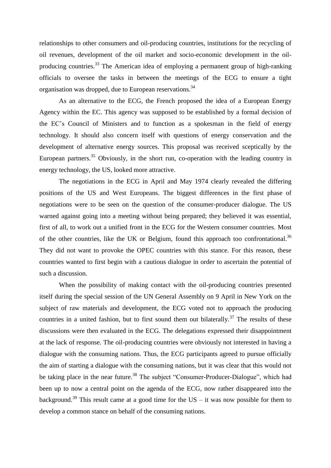relationships to other consumers and oil-producing countries, institutions for the recycling of oil revenues, development of the oil market and socio-economic development in the oilproducing countries.<sup>33</sup> The American idea of employing a permanent group of high-ranking officials to oversee the tasks in between the meetings of the ECG to ensure a tight organisation was dropped, due to European reservations.<sup>34</sup>

As an alternative to the ECG, the French proposed the idea of a European Energy Agency within the EC. This agency was supposed to be established by a formal decision of the EC's Council of Ministers and to function as a spokesman in the field of energy technology. It should also concern itself with questions of energy conservation and the development of alternative energy sources. This proposal was received sceptically by the European partners.<sup>35</sup> Obviously, in the short run, co-operation with the leading country in energy technology, the US, looked more attractive.

The negotiations in the ECG in April and May 1974 clearly revealed the differing positions of the US and West Europeans. The biggest differences in the first phase of negotiations were to be seen on the question of the consumer-producer dialogue. The US warned against going into a meeting without being prepared; they believed it was essential, first of all, to work out a unified front in the ECG for the Western consumer countries. Most of the other countries, like the UK or Belgium, found this approach too confrontational.<sup>36</sup> They did not want to provoke the OPEC countries with this stance. For this reason, these countries wanted to first begin with a cautious dialogue in order to ascertain the potential of such a discussion.

When the possibility of making contact with the oil-producing countries presented itself during the special session of the UN General Assembly on 9 April in New York on the subject of raw materials and development, the ECG voted not to approach the producing countries in a united fashion, but to first sound them out bilaterally.<sup>37</sup> The results of these discussions were then evaluated in the ECG. The delegations expressed their disappointment at the lack of response. The oil-producing countries were obviously not interested in having a dialogue with the consuming nations. Thus, the ECG participants agreed to pursue officially the aim of starting a dialogue with the consuming nations, but it was clear that this would not be taking place in the near future.<sup>38</sup> The subject "Consumer-Producer-Dialogue", which had been up to now a central point on the agenda of the ECG, now rather disappeared into the background.<sup>39</sup> This result came at a good time for the US – it was now possible for them to develop a common stance on behalf of the consuming nations.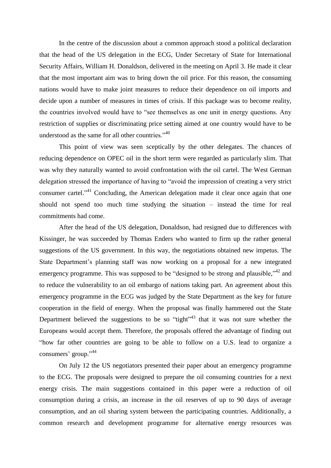In the centre of the discussion about a common approach stood a political declaration that the head of the US delegation in the ECG, Under Secretary of State for International Security Affairs, William H. Donaldson, delivered in the meeting on April 3. He made it clear that the most important aim was to bring down the oil price. For this reason, the consuming nations would have to make joint measures to reduce their dependence on oil imports and decide upon a number of measures in times of crisis. If this package was to become reality, the countries involved would have to "see themselves as one unit in energy questions. Any restriction of supplies or discriminating price setting aimed at one country would have to be understood as the same for all other countries."<sup>40</sup>

This point of view was seen sceptically by the other delegates. The chances of reducing dependence on OPEC oil in the short term were regarded as particularly slim. That was why they naturally wanted to avoid confrontation with the oil cartel. The West German delegation stressed the importance of having to "avoid the impression of creating a very strict consumer cartel."<sup>41</sup> Concluding, the American delegation made it clear once again that one should not spend too much time studying the situation – instead the time for real commitments had come.

After the head of the US delegation, Donaldson, had resigned due to differences with Kissinger, he was succeeded by Thomas Enders who wanted to firm up the rather general suggestions of the US government. In this way, the negotiations obtained new impetus. The State Department's planning staff was now working on a proposal for a new integrated emergency programme. This was supposed to be "designed to be strong and plausible,"  $42$  and to reduce the vulnerability to an oil embargo of nations taking part. An agreement about this emergency programme in the ECG was judged by the State Department as the key for future cooperation in the field of energy. When the proposal was finally hammered out the State Department believed the suggestions to be so "tight"<sup>43</sup> that it was not sure whether the Europeans would accept them. Therefore, the proposals offered the advantage of finding out "how far other countries are going to be able to follow on a U.S. lead to organize a consumers' group." 44

On July 12 the US negotiators presented their paper about an emergency programme to the ECG. The proposals were designed to prepare the oil consuming countries for a next energy crisis. The main suggestions contained in this paper were a reduction of oil consumption during a crisis, an increase in the oil reserves of up to 90 days of average consumption, and an oil sharing system between the participating countries. Additionally, a common research and development programme for alternative energy resources was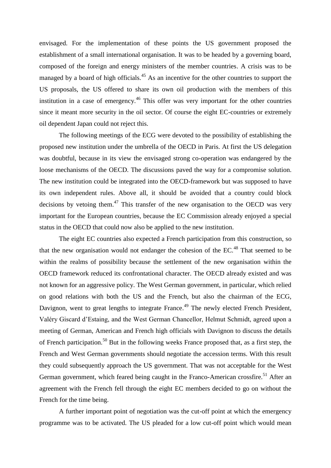envisaged. For the implementation of these points the US government proposed the establishment of a small international organisation. It was to be headed by a governing board, composed of the foreign and energy ministers of the member countries. A crisis was to be managed by a board of high officials.<sup>45</sup> As an incentive for the other countries to support the US proposals, the US offered to share its own oil production with the members of this institution in a case of emergency.<sup>46</sup> This offer was very important for the other countries since it meant more security in the oil sector. Of course the eight EC-countries or extremely oil dependent Japan could not reject this.

The following meetings of the ECG were devoted to the possibility of establishing the proposed new institution under the umbrella of the OECD in Paris. At first the US delegation was doubtful, because in its view the envisaged strong co-operation was endangered by the loose mechanisms of the OECD. The discussions paved the way for a compromise solution. The new institution could be integrated into the OECD-framework but was supposed to have its own independent rules. Above all, it should be avoided that a country could block decisions by vetoing them. $47$  This transfer of the new organisation to the OECD was very important for the European countries, because the EC Commission already enjoyed a special status in the OECD that could now also be applied to the new institution.

The eight EC countries also expected a French participation from this construction, so that the new organisation would not endanger the cohesion of the EC.<sup>48</sup> That seemed to be within the realms of possibility because the settlement of the new organisation within the OECD framework reduced its confrontational character. The OECD already existed and was not known for an aggressive policy. The West German government, in particular, which relied on good relations with both the US and the French, but also the chairman of the ECG, Davignon, went to great lengths to integrate France.<sup>49</sup> The newly elected French President, Valéry Giscard d'Estaing, and the West German Chancellor, Helmut Schmidt, agreed upon a meeting of German, American and French high officials with Davignon to discuss the details of French participation.<sup>50</sup> But in the following weeks France proposed that, as a first step, the French and West German governments should negotiate the accession terms. With this result they could subsequently approach the US government. That was not acceptable for the West German government, which feared being caught in the Franco-American crossfire.<sup>51</sup> After an agreement with the French fell through the eight EC members decided to go on without the French for the time being.

A further important point of negotiation was the cut-off point at which the emergency programme was to be activated. The US pleaded for a low cut-off point which would mean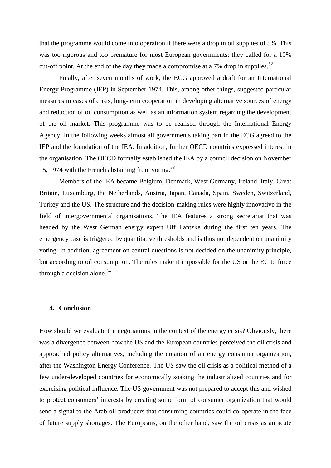that the programme would come into operation if there were a drop in oil supplies of 5%. This was too rigorous and too premature for most European governments; they called for a 10% cut-off point. At the end of the day they made a compromise at a 7% drop in supplies.<sup>52</sup>

Finally, after seven months of work, the ECG approved a draft for an International Energy Programme (IEP) in September 1974. This, among other things, suggested particular measures in cases of crisis, long-term cooperation in developing alternative sources of energy and reduction of oil consumption as well as an information system regarding the development of the oil market. This programme was to be realised through the International Energy Agency. In the following weeks almost all governments taking part in the ECG agreed to the IEP and the foundation of the IEA. In addition, further OECD countries expressed interest in the organisation. The OECD formally established the IEA by a council decision on November 15, 1974 with the French abstaining from voting. $53$ 

Members of the IEA became Belgium, Denmark, West Germany, Ireland, Italy, Great Britain, Luxemburg, the Netherlands, Austria, Japan, Canada, Spain, Sweden, Switzerland, Turkey and the US. The structure and the decision-making rules were highly innovative in the field of intergovernmental organisations. The IEA features a strong secretariat that was headed by the West German energy expert Ulf Lantzke during the first ten years. The emergency case is triggered by quantitative thresholds and is thus not dependent on unanimity voting. In addition, agreement on central questions is not decided on the unanimity principle, but according to oil consumption. The rules make it impossible for the US or the EC to force through a decision alone.<sup>54</sup>

#### **4. Conclusion**

How should we evaluate the negotiations in the context of the energy crisis? Obviously, there was a divergence between how the US and the European countries perceived the oil crisis and approached policy alternatives, including the creation of an energy consumer organization, after the Washington Energy Conference. The US saw the oil crisis as a political method of a few under-developed countries for economically soaking the industrialized countries and for exercising political influence. The US government was not prepared to accept this and wished to protect consumers' interests by creating some form of consumer organization that would send a signal to the Arab oil producers that consuming countries could co-operate in the face of future supply shortages. The Europeans, on the other hand, saw the oil crisis as an acute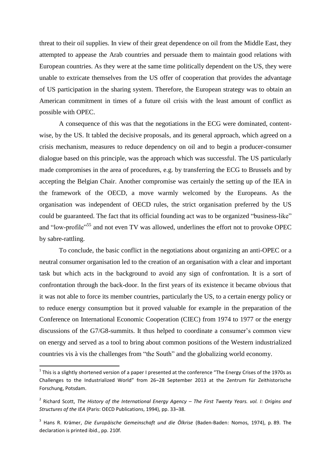threat to their oil supplies. In view of their great dependence on oil from the Middle East, they attempted to appease the Arab countries and persuade them to maintain good relations with European countries. As they were at the same time politically dependent on the US, they were unable to extricate themselves from the US offer of cooperation that provides the advantage of US participation in the sharing system. Therefore, the European strategy was to obtain an American commitment in times of a future oil crisis with the least amount of conflict as possible with OPEC.

A consequence of this was that the negotiations in the ECG were dominated, contentwise, by the US. It tabled the decisive proposals, and its general approach, which agreed on a crisis mechanism, measures to reduce dependency on oil and to begin a producer-consumer dialogue based on this principle, was the approach which was successful. The US particularly made compromises in the area of procedures, e.g. by transferring the ECG to Brussels and by accepting the Belgian Chair. Another compromise was certainly the setting up of the IEA in the framework of the OECD, a move warmly welcomed by the Europeans. As the organisation was independent of OECD rules, the strict organisation preferred by the US could be guaranteed. The fact that its official founding act was to be organized "business-like" and "low-profile"<sup>55</sup> and not even TV was allowed, underlines the effort not to provoke OPEC by sabre-rattling.

To conclude, the basic conflict in the negotiations about organizing an anti-OPEC or a neutral consumer organisation led to the creation of an organisation with a clear and important task but which acts in the background to avoid any sign of confrontation. It is a sort of confrontation through the back-door. In the first years of its existence it became obvious that it was not able to force its member countries, particularly the US, to a certain energy policy or to reduce energy consumption but it proved valuable for example in the preparation of the Conference on International Economic Cooperation (CIEC) from 1974 to 1977 or the energy discussions of the G7/G8-summits. It thus helped to coordinate a consumer's common view on energy and served as a tool to bring about common positions of the Western industrialized countries vis à vis the challenges from "the South" and the globalizing world economy.

1

 $^1$  This is a slightly shortened version of a paper I presented at the conference "The Energy Crises of the 1970s as Challenges to the Industrialized World" from 26–28 September 2013 at the Zentrum für Zeithistorische Forschung, Potsdam.

<sup>2</sup> Richard Scott, *The History of the International Energy Agency – The First Twenty Years. vol. I: Origins and Structures of the IEA* (Paris: OECD Publications, 1994), pp. 33–38.

<sup>3</sup> Hans R. Krämer, *Die Europäische Gemeinschaft und die Ölkrise* (Baden-Baden: Nomos, 1974), p. 89. The declaration is printed ibid., pp. 210f.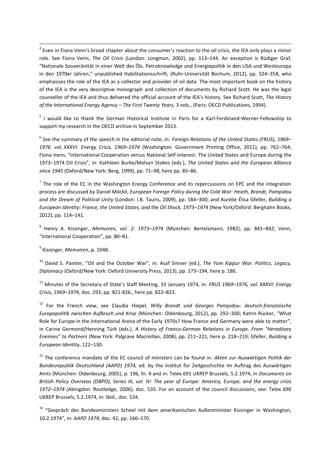<sup>4</sup> Even in Fiona Venn's broad chapter about the consumer's reaction to the oil crisis, the IEA only plays a minor role. See Fiona Venn, *The Oil Crisis* (London: Longman, 2002), pp. 113–144. An exception is Rüdiger Graf, "Nationale Souveränität in einer Welt des Öls. Petroknowledge und Energiepolitik in den USA und Westeuropa in den 1970er Jahren," unpublished Habilitationsschrift, (Ruhr-Universität Bochum, 2012), pp. 324–358, who emphasises the role of the IEA as a collector and provider of oil data. The most important book on the history of the IEA is the very descriptive monograph and collection of documents by Richard Scott. He was the legal counsellor of the IEA and thus delivered the official account of the IEA's history. See Richard Scott, *The History of the International Energy Agency – The First Twenty Years,* 3 vols., (Paris: OECD Publications, 1994).

<sup>5</sup> I would like to thank the German Historical Institute in Paris for a Karl-Ferdinand-Werner-Fellowship to support my research in the OECD archive in September 2013.

6 See the summary of the speech in the editorial note, in: *Foreign Relations of the United States (FRUS), 1969– 1976. vol. XXXVI: Energy Crisis, 1969–1974* (Washington: Government Printing Office, 2011), pp. 762–764; Fiona Venn, "International Cooperation versus National Self-Interest: The United States and Europe during the 1973–1974 Oil Crisis", in: Kathleen Burke/Melvyn Stokes (eds.), *The United States and the European Alliance since 1945* (Oxford/New York: Berg, 1999), pp. 71–98, here pp. 85–86.

 $<sup>7</sup>$  The role of the EC in the Washington Energy Conference and its repercussions on EPC and the integration</sup> process are discussed by Daniel Möckli, *European Foreign Policy during the Cold War: Heath, Brandt, Pompidou and the Dream of Political Unity* (London: I.B. Tauris, 2009), pp. 184–300; and Aurélie Élisa Gfeller, *Building a European Identity: France, the United States, and the Oil Shock, 1973–1974* (New York/Oxford: Berghahn Books, 2012), pp. 114–141.

8 Henry A. Kissinger, *Memoiren, vol. 2: 1973–1974* (München: Bertelsmann, 1982), pp. 841–842; Venn, "International Cooperation", pp. 80–81.

9 Kissinger, *Memoiren*, p. 1048.

 $\overline{a}$ 

<sup>10</sup> David S. Painter, "Oil and the October War", in: Asaf Siniver (ed.), *The Yom Kippur War. Politics, Legacy, Diplomacy* (Oxford/New York: Oxford University Press, 2013), pp. 173–194, here p. 186.

<sup>11</sup> Minutes of the Secretary of State's Staff Meeting, 31 January 1974, in: *FRUS 1969–1976, vol. XXXVI: Energy Crisis, 1969–1974*, doc. 293, pp. 821-826., here pp. 822–823.

<sup>12</sup> For the French view, see Claudia Hiepel, *Willy Brandt und Georges Pompidou: deutsch-französische Europapolitik zwischen Aufbruch und Krise* (München: Oldenbourg, 2012), pp. 292–300; Katrin Rücker, "What Role for Europe in the International Arena of the Early 1970s? How France and Germany were able to matter", in Carine Germond/Henning Türk (eds.), *A History of Franco-German Relations in Europe. From "Hereditary Enemies" to Partners* (New York: Palgrave Macmillan, 2008), pp. 211–221, here p. 218–219; Gfeller, *Building a European Identity*, 122–130.

<sup>13</sup> The conference mandate of the EC council of ministers can be found in: *Akten zur Auswärtigen Politik der Bundesrepublik Deutschland (AAPD) 1974,* ed. by the Institut für Zeitgeschichte im Auftrag des Auswärtigen Amts (München: Oldenbourg, 2005), p. 196, fn. 4 and in: Telex 691 UKREP Brussels, 5.2.1974, in *Documents on British Policy Overseas (DBPO), Series III, vol. IV: The year of Europe: America, Europe, and the energy crisis 1972–1974* (Abingdon: Routledge, 2006), doc. 535. For an account of the council discussions, see: Telex 690 UKREP Brussels, 5.2.1974, in: Ibid., doc. 534.

<sup>14</sup> "Gespräch des Bundesministers Scheel mit dem amerikanischen Außenminister Kissinger in Washington, 10.2.1974", in: *AAPD 1974*, doc. 42, pp. 166–170.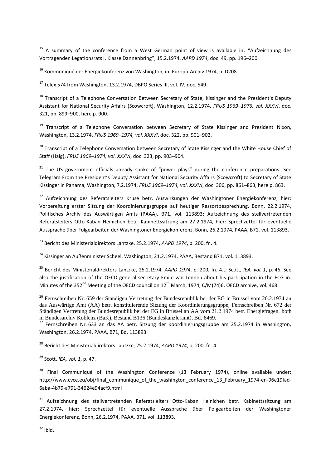<sup>15</sup> A summary of the conference from a West German point of view is available in: "Aufzeichnung des Vortragenden Legationsrats I. Klasse Dannenbring", 15.2.1974, *AAPD 1974*, doc. 49, pp. 196–200.

<sup>16</sup> Kommuniqué der Energiekonferenz von Washington, in: Europa-Archiv 1974, p. D208.

<sup>17</sup> Telex 574 from Washington, 13.2.1974, DBPO Series III, vol. IV, doc. 549.

<sup>18</sup> Transcript of a Telephone Conversation Between Secretary of State, Kissinger and the President's Deputy Assistant for National Security Affairs (Scowcroft), Washington, 12.2.1974, *FRUS 1969–1976, vol. XXXVI*, doc. 321, pp. 899–900, here p. 900.

<sup>19</sup> Transcript of a Telephone Conversation between Secretary of State Kissinger and President Nixon, Washington, 13.2.1974, *FRUS 1969–1974, vol. XXXVI*, doc. 322, pp. 901–902.

<sup>20</sup> Transcript of a Telephone Conversation between Secretary of State Kissinger and the White House Chief of Staff (Haig), *FRUS 1969–1974, vol. XXXVI*, doc. 323, pp. 903–904.

 $21$  The US government officials already spoke of "power plays" during the conference preparations. See Telegram From the President's Deputy Assistant for National Security Affairs (Scowcroft) to Secretary of State Kissinger in Panama, Washington, 7.2.1974, *FRUS 1969–1974, vol. XXXVI*, doc. 306, pp. 861–863, here p. 863.

<sup>22</sup> Aufzeichnung des Referatsleiters Kruse betr. Auswirkungen der Washingtoner Energiekonferenz, hier: Vorbereitung erster Sitzung der Koordinierungsgruppe auf heutiger Ressortbesprechung, Bonn, 22.2.1974, Politisches Archiv des Auswärtigen Amts (PAAA), B71, vol. 113893; Aufzeichnung des stellvertretenden Referatsleiters Otto-Kaban Heinichen betr. Kabinettssitzung am 27.2.1974, hier: Sprechzettel für eventuelle Aussprache über Folgearbeiten der Washingtoner Energiekonferenz, Bonn, 26.2.1974, PAAA, B71, vol. 113893.

<sup>23</sup> Bericht des Ministerialdirektors Lantzke, 25.2.1974, *AAPD 1974*, p. 200, fn. 4.

<sup>24</sup> Kissinger an Außenminister Scheel, Washington, 21.2.1974, PAAA, Bestand B71, vol. 113893.

<sup>25</sup> Bericht des Ministerialdirektors Lantzke, 25.2.1974, *AAPD 1974*, p. 200, fn. 4.t; Scott, *IEA, vol. 1*, p. 46. See also the justification of the OECD general-secretary Emile van Lennep about his participation in the ECG in: Minutes of the 352<sup>nd</sup> Meeting of the OECD council on 12<sup>th</sup> March, 1974, C/M(74)6, OECD archive, vol. 468.

<sup>26</sup> Fernschreiben Nr. 659 der Ständigen Vertretung der Bundesrepublik bei der EG in Brüssel vom 20.2.1974 an das Auswärtige Amt (AA) betr. konstituierende Sitzung der Koordinierungsgruppe; Fernschreiben Nr. 672 der Ständigen Vertretung der Bundesrepublik bei der EG in Brüssel an AA vom 21.2.1974 betr. Energiefragen, both in Bundesarchiv Koblenz (BaK), Bestand B136 (Bundeskanzleramt), Bd. 8469.

<sup>27</sup> Fernschreiben Nr. 633 an das AA betr. Sitzung der Koordinierungsgruppe am 25.2.1974 in Washington, Washington, 26.2.1974, PAAA, B71, Bd. 113893.

<sup>28</sup> Bericht des Ministerialdirektors Lantzke, 25.2.1974, *AAPD 1974*, p. 200, fn. 4.

<sup>29</sup> Scott, *IEA, vol. 1*, p. 47.

 $30$  Final Communiqué of the Washington Conference (13 February 1974), online available under: http://www.cvce.eu/obj/final\_communique\_of\_the\_washington\_conference\_13\_February\_1974-en-96e19fad-6aba-4b79-a791-34624e94acf9.html

<sup>31</sup> Aufzeichnung des stellvertretenden Referatsleiters Otto-Kaban Heinichen betr. Kabinettssitzung am 27.2.1974, hier: Sprechzettel für eventuelle Aussprache über Folgearbeiten der Washingtoner Energiekonferenz, Bonn, 26.2.1974, PAAA, B71, vol. 113893.

 $32$  Ibid.

 $\overline{a}$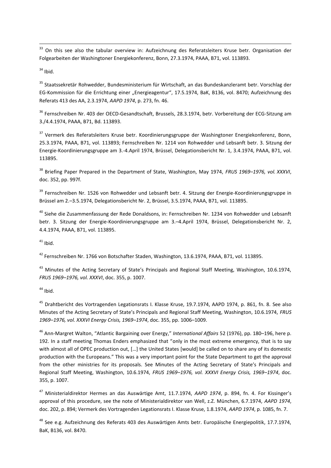$\ddot{\phantom{a}}$ <sup>33</sup> On this see also the tabular overview in: Aufzeichnung des Referatsleiters Kruse betr. Organisation der Folgearbeiten der Washingtoner Energiekonferenz, Bonn, 27.3.1974, PAAA, B71, vol. 113893.

 $34$  Ibid.

<sup>35</sup> Staatssekretär Rohwedder, Bundesministerium für Wirtschaft, an das Bundeskanzleramt betr. Vorschlag der EG-Kommission für die Errichtung einer "Energieagentur", 17.5.1974, BaK, B136, vol. 8470; Aufzeichnung des Referats 413 des AA, 2.3.1974, *AAPD 1974*, p. 273, fn. 46.

<sup>36</sup> Fernschreiben Nr. 403 der OECD-Gesandtschaft, Brussels, 28.3.1974, betr. Vorbereitung der ECG-Sitzung am 3./4.4.1974, PAAA, B71, Bd. 113893.

<sup>37</sup> Vermerk des Referatsleiters Kruse betr. Koordinierungsgruppe der Washingtoner Energiekonferenz, Bonn, 25.3.1974, PAAA, B71, vol. 113893; Fernschreiben Nr. 1214 von Rohwedder und Lebsanft betr. 3. Sitzung der Energie-Koordinierungsgruppe am 3.-4.April 1974, Brüssel, Delegationsbericht Nr. 1, 3.4.1974, PAAA, B71, vol. 113895.

<sup>38</sup> Briefing Paper Prepared in the Department of State, Washington, May 1974, *FRUS 1969–1976, vol. XXXVI*, doc. 352, pp. 997f.

<sup>39</sup> Fernschreiben Nr. 1526 von Rohwedder und Lebsanft betr. 4. Sitzung der Energie-Koordinierungsgruppe in Brüssel am 2.–3.5.1974, Delegationsbericht Nr. 2, Brüssel, 3.5.1974, PAAA, B71, vol. 113895.

<sup>40</sup> Siehe die Zusammenfassung der Rede Donaldsons, in: Fernschreiben Nr. 1234 von Rohwedder und Lebsanft betr. 3. Sitzung der Energie-Koordinierungsgruppe am 3.–4.April 1974, Brüssel, Delegationsbericht Nr. 2, 4.4.1974, PAAA, B71, vol. 113895.

 $41$  Ibid.

<sup>42</sup> Fernschreiben Nr. 1766 von Botschafter Staden, Washington, 13.6.1974, PAAA, B71, vol. 113895.

<sup>43</sup> Minutes of the Acting Secretary of State's Principals and Regional Staff Meeting, Washington, 10.6.1974, *FRUS 1969–1976, vol. XXXVI*, doc. 355, p. 1007.

 $44$  Ibid.

<sup>45</sup> Drahtbericht des Vortragenden Legationsrats I. Klasse Kruse, 19.7.1974, AAPD 1974, p. 861, fn. 8. See also Minutes of the Acting Secretary of State's Principals and Regional Staff Meeting, Washington, 10.6.1974, *FRUS 1969–1976, vol. XXXVI Energy Crisis, 1969–1974*, doc. 355, pp. 1006–1009.

<sup>46</sup> Ann-Margret Walton, "Atlantic Bargaining over Energy," *International Affairs* 52 (1976), pp. 180–196, here p. 192. In a staff meeting Thomas Enders emphasized that "only in the most extreme emergency, that is to say with almost all of OPEC production out, […] the United States [would] be called on to share any of its domestic production with the Europeans." This was a very important point for the State Department to get the approval from the other ministries for its proposals. See Minutes of the Acting Secretary of State's Principals and Regional Staff Meeting, Washington, 10.6.1974, *FRUS 1969–1976, vol. XXXVI Energy Crisis, 1969–1974*, doc. 355, p. 1007.

<sup>47</sup> Ministerialdirektor Hermes an das Auswärtige Amt, 11.7.1974, *AAPD 1974*, p. 894, fn. 4. For Kissinger's approval of this procedure, see the note of Ministerialdirektor van Well, z.Z. München, 6.7.1974, *AAPD 1974*, doc. 202, p. 894; Vermerk des Vortragenden Legationsrats I. Klasse Kruse, 1.8.1974, *AAPD 1974*, p. 1085, fn. 7.

<sup>48</sup> See e.g. Aufzeichnung des Referats 403 des Auswärtigen Amts betr. Europäische Energiepolitik, 17.7.1974, BaK, B136, vol. 8470.